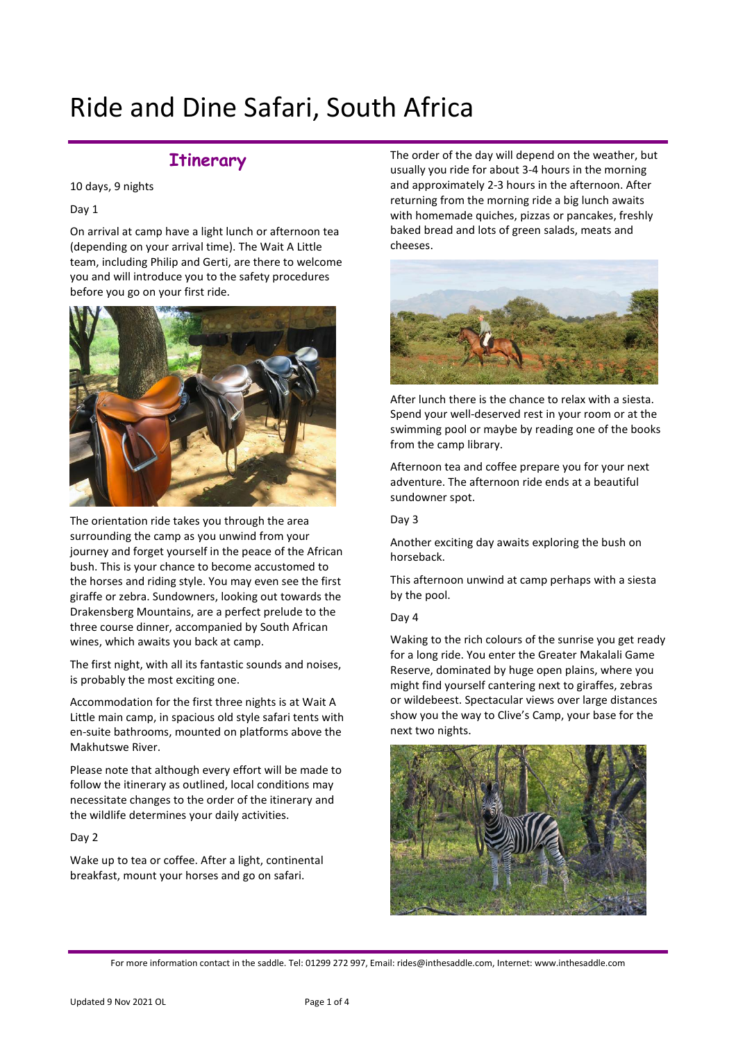# Ride and Dine Safari, South Africa

# **Itinerary**

10 days, 9 nights

Day 1

On arrival at camp have a light lunch or afternoon tea (depending on your arrival time). The Wait A Little team, including Philip and Gerti, are there to welcome you and will introduce you to the safety procedures before you go on your first ride.



The orientation ride takes you through the area surrounding the camp as you unwind from your journey and forget yourself in the peace of the African bush. This is your chance to become accustomed to the horses and riding style. You may even see the first giraffe or zebra. Sundowners, looking out towards the Drakensberg Mountains, are a perfect prelude to the three course dinner, accompanied by South African wines, which awaits you back at camp.

The first night, with all its fantastic sounds and noises, is probably the most exciting one.

Accommodation for the first three nights is at Wait A Little main camp, in spacious old style safari tents with en-suite bathrooms, mounted on platforms above the Makhutswe River.

Please note that although every effort will be made to follow the itinerary as outlined, local conditions may necessitate changes to the order of the itinerary and the wildlife determines your daily activities.

Day 2

Wake up to tea or coffee. After a light, continental breakfast, mount your horses and go on safari.

The order of the day will depend on the weather, but usually you ride for about 3-4 hours in the morning and approximately 2-3 hours in the afternoon. After returning from the morning ride a big lunch awaits with homemade quiches, pizzas or pancakes, freshly baked bread and lots of green salads, meats and cheeses.



After lunch there is the chance to relax with a siesta. Spend your well-deserved rest in your room or at the swimming pool or maybe by reading one of the books from the camp library.

Afternoon tea and coffee prepare you for your next adventure. The afternoon ride ends at a beautiful sundowner spot.

### Day 3

Another exciting day awaits exploring the bush on horseback.

This afternoon unwind at camp perhaps with a siesta by the pool.

## Day 4

Waking to the rich colours of the sunrise you get ready for a long ride. You enter the Greater Makalali Game Reserve, dominated by huge open plains, where you might find yourself cantering next to giraffes, zebras or wildebeest. Spectacular views over large distances show you the way to Clive's Camp, your base for the next two nights.



For more information contact in the saddle. Tel: 01299 272 997, Email: rides@inthesaddle.com, Internet: www.inthesaddle.com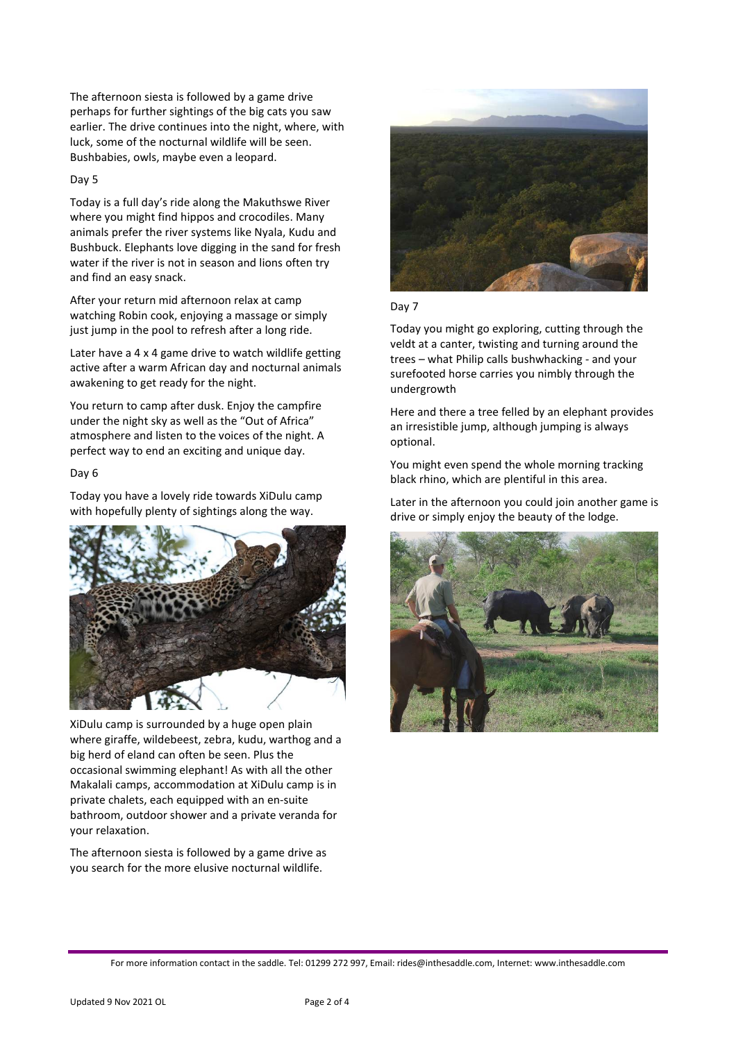The afternoon siesta is followed by a game drive perhaps for further sightings of the big cats you saw earlier. The drive continues into the night, where, with luck, some of the nocturnal wildlife will be seen. Bushbabies, owls, maybe even a leopard.

#### Day 5

Today is a full day's ride along the Makuthswe River where you might find hippos and crocodiles. Many animals prefer the river systems like Nyala, Kudu and Bushbuck. Elephants love digging in the sand for fresh water if the river is not in season and lions often try and find an easy snack.

After your return mid afternoon relax at camp watching Robin cook, enjoying a massage or simply just jump in the pool to refresh after a long ride.

Later have a 4 x 4 game drive to watch wildlife getting active after a warm African day and nocturnal animals awakening to get ready for the night.

You return to camp after dusk. Enjoy the campfire under the night sky as well as the "Out of Africa" atmosphere and listen to the voices of the night. A perfect way to end an exciting and unique day.

## Day 6

Today you have a lovely ride towards XiDulu camp with hopefully plenty of sightings along the way.



XiDulu camp is surrounded by a huge open plain where giraffe, wildebeest, zebra, kudu, warthog and a big herd of eland can often be seen. Plus the occasional swimming elephant! As with all the other Makalali camps, accommodation at XiDulu camp is in private chalets, each equipped with an en-suite bathroom, outdoor shower and a private veranda for your relaxation.

The afternoon siesta is followed by a game drive as you search for the more elusive nocturnal wildlife.



#### Day 7

Today you might go exploring, cutting through the veldt at a canter, twisting and turning around the trees – what Philip calls bushwhacking - and your surefooted horse carries you nimbly through the undergrowth

Here and there a tree felled by an elephant provides an irresistible jump, although jumping is always optional.

You might even spend the whole morning tracking black rhino, which are plentiful in this area.

Later in the afternoon you could join another game is drive or simply enjoy the beauty of the lodge.

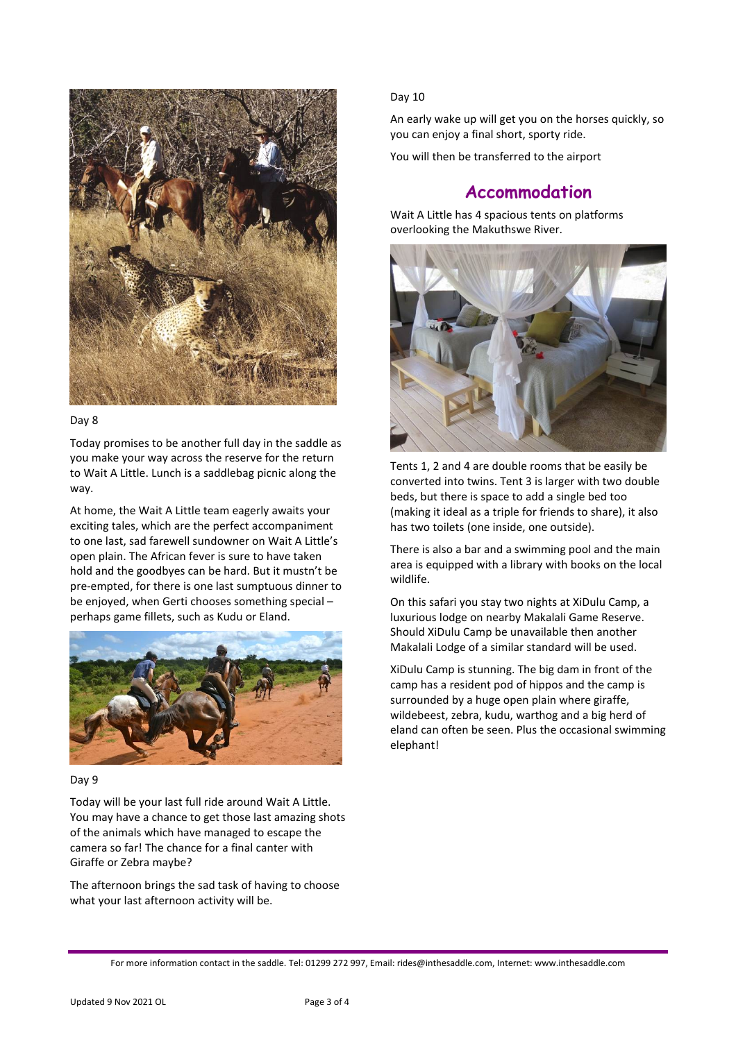

#### Day 8

Today promises to be another full day in the saddle as you make your way across the reserve for the return to Wait A Little. Lunch is a saddlebag picnic along the way.

At home, the Wait A Little team eagerly awaits your exciting tales, which are the perfect accompaniment to one last, sad farewell sundowner on Wait A Little's open plain. The African fever is sure to have taken hold and the goodbyes can be hard. But it mustn't be pre-empted, for there is one last sumptuous dinner to be enjoyed, when Gerti chooses something special – perhaps game fillets, such as Kudu or Eland.



#### Day 9

Today will be your last full ride around Wait A Little. You may have a chance to get those last amazing shots of the animals which have managed to escape the camera so far! The chance for a final canter with Giraffe or Zebra maybe?

The afternoon brings the sad task of having to choose what your last afternoon activity will be.

#### Day 10

An early wake up will get you on the horses quickly, so you can enjoy a final short, sporty ride.

You will then be transferred to the airport

# **Accommodation**

Wait A Little has 4 spacious tents on platforms overlooking the Makuthswe River.



Tents 1, 2 and 4 are double rooms that be easily be converted into twins. Tent 3 is larger with two double beds, but there is space to add a single bed too (making it ideal as a triple for friends to share), it also has two toilets (one inside, one outside).

There is also a bar and a swimming pool and the main area is equipped with a library with books on the local wildlife.

On this safari you stay two nights at XiDulu Camp, a luxurious lodge on nearby Makalali Game Reserve. Should XiDulu Camp be unavailable then another Makalali Lodge of a similar standard will be used.

XiDulu Camp is stunning. The big dam in front of the camp has a resident pod of hippos and the camp is surrounded by a huge open plain where giraffe, wildebeest, zebra, kudu, warthog and a big herd of eland can often be seen. Plus the occasional swimming elephant!

For more information contact in the saddle. Tel: 01299 272 997, Email: rides@inthesaddle.com, Internet: www.inthesaddle.com